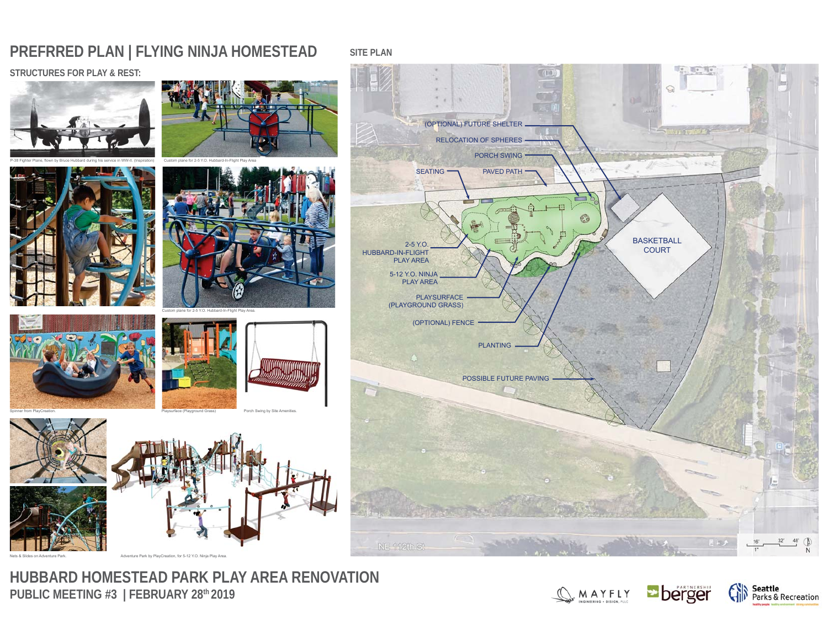# **PREFRRED PLAN | FLYING NINJA HOMESTEAD**

## **STRUCTURES FOR PLAY & REST:**





**SITE PLAN**

Custom plane for 2-5 Y.O. Hubbard-In-Flight Play Area









Nets & Slides on Adventure Park.

**HUBBARD HOMESTEAD PARK PLAY AREA RENOVATION** PUBLIC MEETING #3 | FEBRUARY 28<sup>th</sup> 2019

Adventure Park by PlayCreation, for 5-12 Y.O. Ninja Play Area.